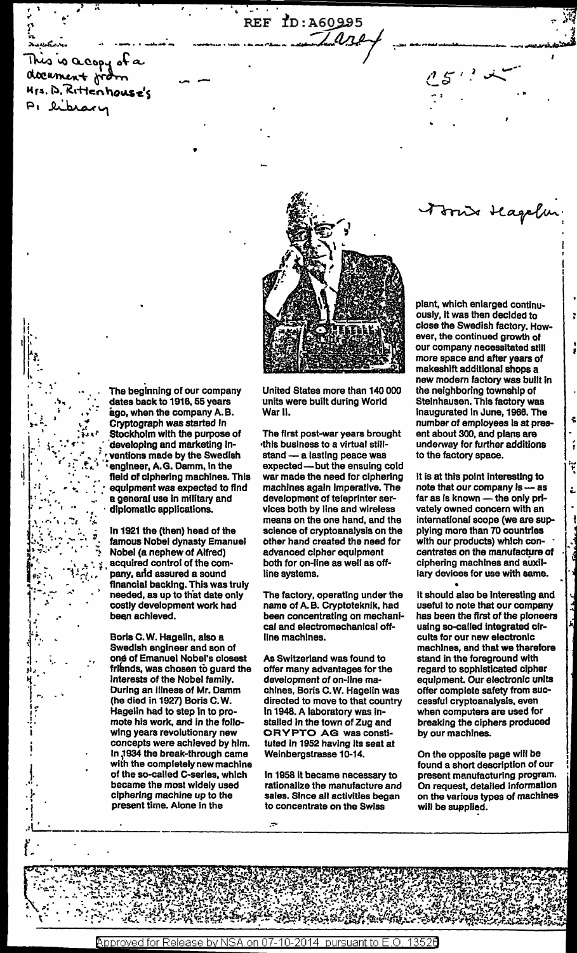is is acopy of a document from Mrs. D. Rittenhouse's library



REF ID: A60995

 $1.000$ 

The beginning of our company dates back to 1916, 55 years ago, when the company A.B. Cryptograph was started in Stockholm with the purpose of developing and marketing inventions made by the Swedish engineer, A.G. Damm, in the field of ciphering machines. This equipment was expected to find a general use in military and diplomatic applications.

In 1921 the (then) head of the famous Nobel dynasty Emanuel Nobel (a nephew of Alfred) acquired control of the company, and assured a sound financial backing. This was truly needed, as up to that date only costly development work had been achieved.

Boris C.W. Hagelin, also a Swedish engineer and son of one of Emanuel Nobel's closest friends, was chosen to guard the interests of the Nobel family. During an illness of Mr. Damm (he died in 1927) Boris C.W. Hagelin had to step in to promote his work, and in the following years revolutionary new concepts were achieved by him. In 1934 the break-through came with the completely new machine of the so-called C-series, which became the most widely used ciphering machine up to the present time. Alone in the

United States more than 140 000 units were built during World War II.

The first post-war years brought this business to a virtual stillstand - a lasting peace was expected-but the ensuing cold war made the need for ciphering machines again imperative. The development of teleprinter services both by line and wireless means on the one hand, and the science of cryptoanalysis on the other hand created the need for advanced cipher equipment both for on-line as well as offline systems.

The factory, operating under the name of A.B. Cryptoteknik, had been concentrating on mechanical and electromechanical offline machines.

As Switzerland was found to offer many advantages for the development of on-line machines, Boris C.W. Hagelin was directed to move to that country in 1948. A laboratory was installed in the town of Zug and **CRYPTO AG was consti**tuted in 1952 having its seat at Weinbergstrasse 10-14.

In 1958 it became necessary to rationalize the manufacture and sales. Since all activities began to concentrate on the Swiss

plant, which enlarged continuously, it was then decided to close the Swedish factory. However, the continued growth of our company necessitated still more space and after years of makeshift additional shops a new modern factory was built in the neighboring township of Steinhausen. This factory was inaugurated in June, 1966. The number of employees is at present about 300, and plans are underway for further additions to the factory space.

Irris Hagelu

It is at this point interesting to note that our company is -- as far as is known - the only privately owned concern with an international scope (we are supplying more than 70 countries with our products) which concentrates on the manufacture of ciphering machines and auxillary devices for use with same.

It should also be interesting and useful to note that our company has been the first of the pioneers using so-called integrated circuits for our new electronic machines, and that we therefore stand in the foreground with regard to sophisticated cipher equipment. Our electronic units offer complete safety from successful cryptoanalysis, even when computers are used for breaking the ciphers produced by our machines.

On the opposite page will be found a short description of our present manufacturing program. On request, detailed information on the various types of machines will be supplied.

Approved for Release by NSA on 07-10-2014 pursuant to E.O. 13526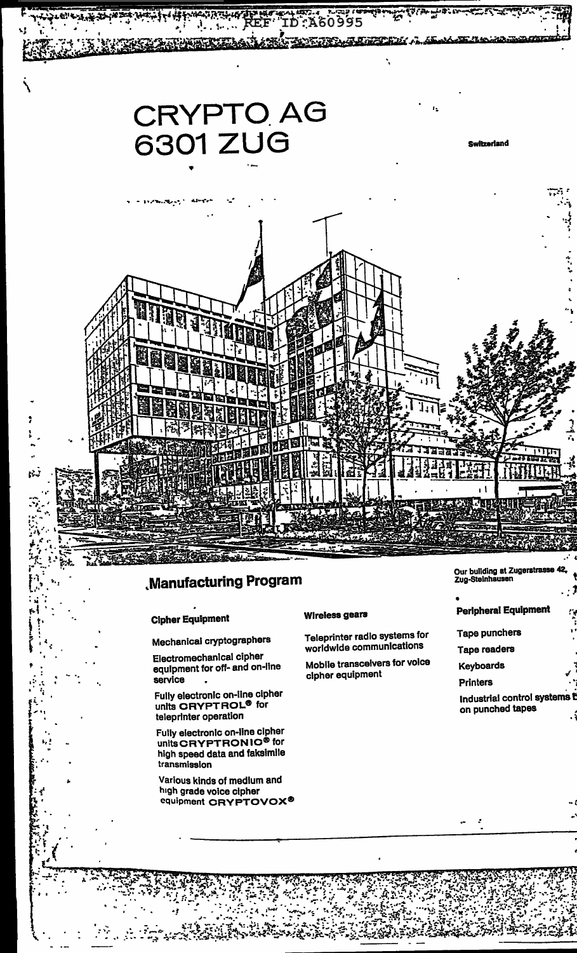

## **Manufacturing Program**

## **Cipher Equipment**

Mechanical cryptographers

Electromechanical cipher equipment for off- and on-line service

Fully electronic on-line cipher<br>units CRYPTROL<sup>®</sup> for teleprinter operation

Fully electronic on-line cipher units CRYPTRONIC<sup>®</sup> for high speed data and faksimile transmission

Various kinds of medium and high grade voice cipher equipment CRYPTOVOX®

## **Wireless gears**

Teleprinter radio systems for worldwide communications

Mobile transceivers for voice cipher equipment

Our building at Zugerstrasse<br>Zug-Steinhausen

## **Peripheral Equipment**

- **Tape punchers**
- **Tape readers**
- **Keyboards**
- **Printers**

Industrial control systems i on punched tapes